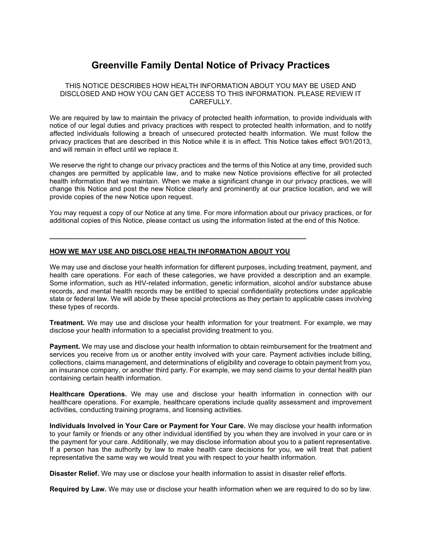# Greenville Family Dental Notice of Privacy Practices

### THIS NOTICE DESCRIBES HOW HEALTH INFORMATION ABOUT YOU MAY BE USED AND DISCLOSED AND HOW YOU CAN GET ACCESS TO THIS INFORMATION. PLEASE REVIEW IT CAREFULLY.

We are required by law to maintain the privacy of protected health information, to provide individuals with notice of our legal duties and privacy practices with respect to protected health information, and to notify affected individuals following a breach of unsecured protected health information. We must follow the privacy practices that are described in this Notice while it is in effect. This Notice takes effect 9/01/2013, and will remain in effect until we replace it.

We reserve the right to change our privacy practices and the terms of this Notice at any time, provided such changes are permitted by applicable law, and to make new Notice provisions effective for all protected health information that we maintain. When we make a significant change in our privacy practices, we will change this Notice and post the new Notice clearly and prominently at our practice location, and we will provide copies of the new Notice upon request.

You may request a copy of our Notice at any time. For more information about our privacy practices, or for additional copies of this Notice, please contact us using the information listed at the end of this Notice.

# HOW WE MAY USE AND DISCLOSE HEALTH INFORMATION ABOUT YOU

 $\_$  ,  $\_$  ,  $\_$  ,  $\_$  ,  $\_$  ,  $\_$  ,  $\_$  ,  $\_$  ,  $\_$  ,  $\_$  ,  $\_$  ,  $\_$  ,  $\_$  ,  $\_$  ,  $\_$  ,  $\_$  ,  $\_$  ,  $\_$  ,  $\_$ 

We may use and disclose your health information for different purposes, including treatment, payment, and health care operations. For each of these categories, we have provided a description and an example. Some information, such as HIV-related information, genetic information, alcohol and/or substance abuse records, and mental health records may be entitled to special confidentiality protections under applicable state or federal law. We will abide by these special protections as they pertain to applicable cases involving these types of records.

Treatment. We may use and disclose your health information for your treatment. For example, we may disclose your health information to a specialist providing treatment to you.

Payment. We may use and disclose your health information to obtain reimbursement for the treatment and services you receive from us or another entity involved with your care. Payment activities include billing, collections, claims management, and determinations of eligibility and coverage to obtain payment from you, an insurance company, or another third party. For example, we may send claims to your dental health plan containing certain health information.

Healthcare Operations. We may use and disclose your health information in connection with our healthcare operations. For example, healthcare operations include quality assessment and improvement activities, conducting training programs, and licensing activities.

Individuals Involved in Your Care or Payment for Your Care. We may disclose your health information to your family or friends or any other individual identified by you when they are involved in your care or in the payment for your care. Additionally, we may disclose information about you to a patient representative. If a person has the authority by law to make health care decisions for you, we will treat that patient representative the same way we would treat you with respect to your health information.

Disaster Relief. We may use or disclose your health information to assist in disaster relief efforts.

Required by Law. We may use or disclose your health information when we are required to do so by law.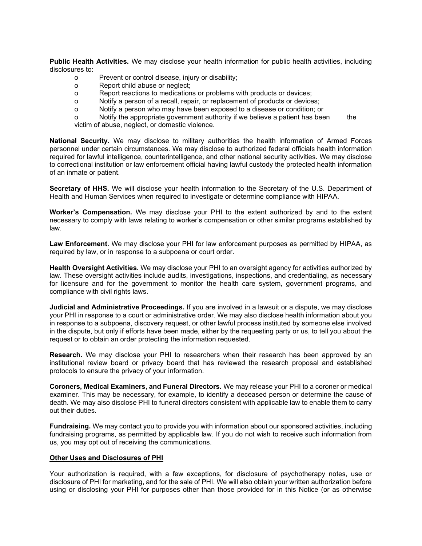Public Health Activities. We may disclose your health information for public health activities, including disclosures to:

- o Prevent or control disease, injury or disability;
- o Report child abuse or neglect;
- o Report reactions to medications or problems with products or devices;
- o Notify a person of a recall, repair, or replacement of products or devices;
- o Notify a person who may have been exposed to a disease or condition; or

o Notify the appropriate government authority if we believe a patient has been the victim of abuse, neglect, or domestic violence.

National Security. We may disclose to military authorities the health information of Armed Forces personnel under certain circumstances. We may disclose to authorized federal officials health information required for lawful intelligence, counterintelligence, and other national security activities. We may disclose to correctional institution or law enforcement official having lawful custody the protected health information of an inmate or patient.

Secretary of HHS. We will disclose your health information to the Secretary of the U.S. Department of Health and Human Services when required to investigate or determine compliance with HIPAA.

Worker's Compensation. We may disclose your PHI to the extent authorized by and to the extent necessary to comply with laws relating to worker's compensation or other similar programs established by law.

Law Enforcement. We may disclose your PHI for law enforcement purposes as permitted by HIPAA, as required by law, or in response to a subpoena or court order.

Health Oversight Activities. We may disclose your PHI to an oversight agency for activities authorized by law. These oversight activities include audits, investigations, inspections, and credentialing, as necessary for licensure and for the government to monitor the health care system, government programs, and compliance with civil rights laws.

Judicial and Administrative Proceedings. If you are involved in a lawsuit or a dispute, we may disclose your PHI in response to a court or administrative order. We may also disclose health information about you in response to a subpoena, discovery request, or other lawful process instituted by someone else involved in the dispute, but only if efforts have been made, either by the requesting party or us, to tell you about the request or to obtain an order protecting the information requested.

**Research.** We may disclose your PHI to researchers when their research has been approved by an institutional review board or privacy board that has reviewed the research proposal and established protocols to ensure the privacy of your information.

Coroners, Medical Examiners, and Funeral Directors. We may release your PHI to a coroner or medical examiner. This may be necessary, for example, to identify a deceased person or determine the cause of death. We may also disclose PHI to funeral directors consistent with applicable law to enable them to carry out their duties.

Fundraising. We may contact you to provide you with information about our sponsored activities, including fundraising programs, as permitted by applicable law. If you do not wish to receive such information from us, you may opt out of receiving the communications.

#### Other Uses and Disclosures of PHI

Your authorization is required, with a few exceptions, for disclosure of psychotherapy notes, use or disclosure of PHI for marketing, and for the sale of PHI. We will also obtain your written authorization before using or disclosing your PHI for purposes other than those provided for in this Notice (or as otherwise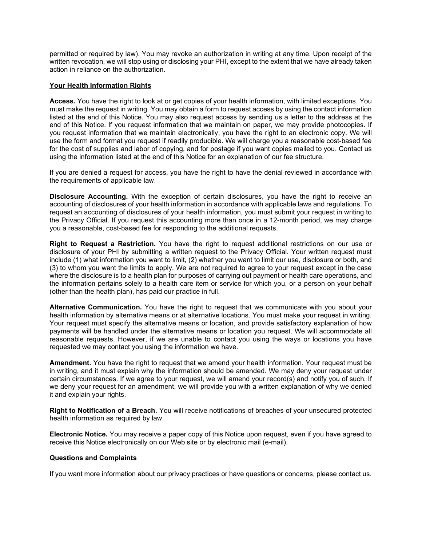permitted or required by law). You may revoke an authorization in writing at any time. Upon receipt of the written revocation, we will stop using or disclosing your PHI, except to the extent that we have already taken action in reliance on the authorization.

## Your Health Information Rights

Access. You have the right to look at or get copies of your health information, with limited exceptions. You must make the request in writing. You may obtain a form to request access by using the contact information listed at the end of this Notice. You may also request access by sending us a letter to the address at the end of this Notice. If you request information that we maintain on paper, we may provide photocopies. If you request information that we maintain electronically, you have the right to an electronic copy. We will use the form and format you request if readily producible. We will charge you a reasonable cost-based fee for the cost of supplies and labor of copying, and for postage if you want copies mailed to you. Contact us using the information listed at the end of this Notice for an explanation of our fee structure.

If you are denied a request for access, you have the right to have the denial reviewed in accordance with the requirements of applicable law.

Disclosure Accounting. With the exception of certain disclosures, you have the right to receive an accounting of disclosures of your health information in accordance with applicable laws and regulations. To request an accounting of disclosures of your health information, you must submit your request in writing to the Privacy Official. If you request this accounting more than once in a 12-month period, we may charge you a reasonable, cost-based fee for responding to the additional requests.

Right to Request a Restriction. You have the right to request additional restrictions on our use or disclosure of your PHI by submitting a written request to the Privacy Official. Your written request must include (1) what information you want to limit, (2) whether you want to limit our use, disclosure or both, and (3) to whom you want the limits to apply. We are not required to agree to your request except in the case where the disclosure is to a health plan for purposes of carrying out payment or health care operations, and the information pertains solely to a health care item or service for which you, or a person on your behalf (other than the health plan), has paid our practice in full.

Alternative Communication. You have the right to request that we communicate with you about your health information by alternative means or at alternative locations. You must make your request in writing. Your request must specify the alternative means or location, and provide satisfactory explanation of how payments will be handled under the alternative means or location you request. We will accommodate all reasonable requests. However, if we are unable to contact you using the ways or locations you have requested we may contact you using the information we have.

Amendment. You have the right to request that we amend your health information. Your request must be in writing, and it must explain why the information should be amended. We may deny your request under certain circumstances. If we agree to your request, we will amend your record(s) and notify you of such. If we deny your request for an amendment, we will provide you with a written explanation of why we denied it and explain your rights.

Right to Notification of a Breach. You will receive notifications of breaches of your unsecured protected health information as required by law.

Electronic Notice. You may receive a paper copy of this Notice upon request, even if you have agreed to receive this Notice electronically on our Web site or by electronic mail (e-mail).

## Questions and Complaints

If you want more information about our privacy practices or have questions or concerns, please contact us.